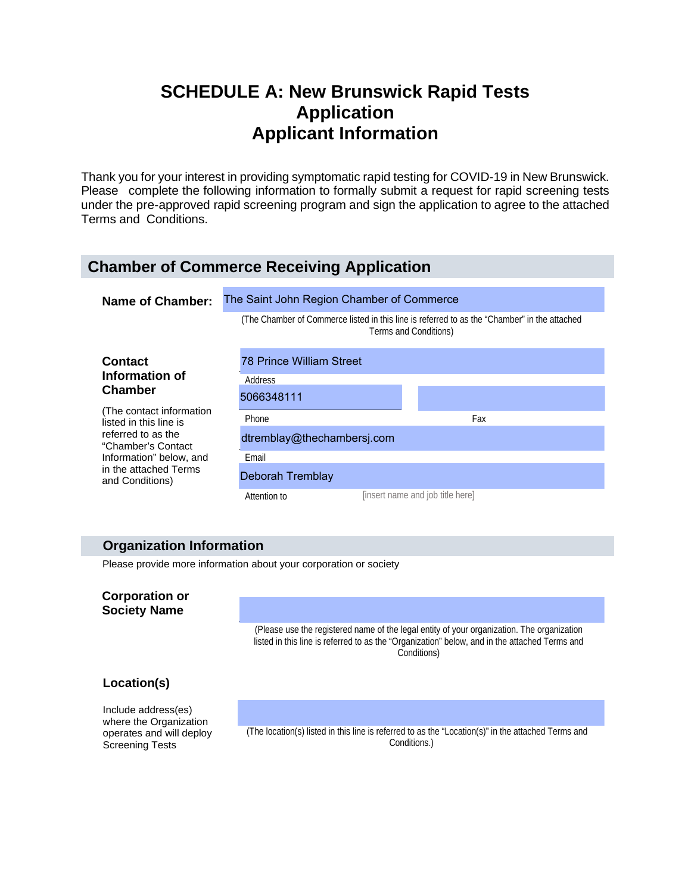# **SCHEDULE A: New Brunswick Rapid Tests Application Applicant Information**

Thank you for your interest in providing symptomatic rapid testing for COVID-19 in New Brunswick. Please complete the following information to formally submit a request for rapid screening tests under the pre-approved rapid screening program and sign the application to agree to the attached Terms and Conditions.

## **Chamber of Commerce Receiving Application**

| Name of Chamber:                                                                                                                                                       | The Saint John Region Chamber of Commerce                                                                             |                                  |     |  |
|------------------------------------------------------------------------------------------------------------------------------------------------------------------------|-----------------------------------------------------------------------------------------------------------------------|----------------------------------|-----|--|
|                                                                                                                                                                        | (The Chamber of Commerce listed in this line is referred to as the "Chamber" in the attached<br>Terms and Conditions) |                                  |     |  |
| <b>Contact</b>                                                                                                                                                         | <b>78 Prince William Street</b>                                                                                       |                                  |     |  |
| Information of<br><b>Chamber</b>                                                                                                                                       | Address                                                                                                               |                                  |     |  |
|                                                                                                                                                                        | 5066348111                                                                                                            |                                  |     |  |
| (The contact information)<br>listed in this line is<br>referred to as the<br>"Chamber's Contact<br>Information" below, and<br>in the attached Terms<br>and Conditions) | <b>Phone</b>                                                                                                          |                                  | Fax |  |
|                                                                                                                                                                        |                                                                                                                       |                                  |     |  |
|                                                                                                                                                                        | dtremblay@thechambersj.com                                                                                            |                                  |     |  |
|                                                                                                                                                                        | Email                                                                                                                 |                                  |     |  |
|                                                                                                                                                                        | Deborah Tremblay                                                                                                      |                                  |     |  |
|                                                                                                                                                                        | Attention to                                                                                                          | [insert name and job title here] |     |  |

## **Organization Information**

Please provide more information about your corporation or society

#### **Corporation or Society Name**

(Please use the registered name of the legal entity of your organization. The organization listed in this line is referred to as the "Organization" below, and in the attached Terms and Conditions)

## **Location(s)**

Include address(es) where the Organization operates and will deploy Screening Tests

 (The location(s) listed in this line is referred to as the "Location(s)" in the attached Terms and Conditions.)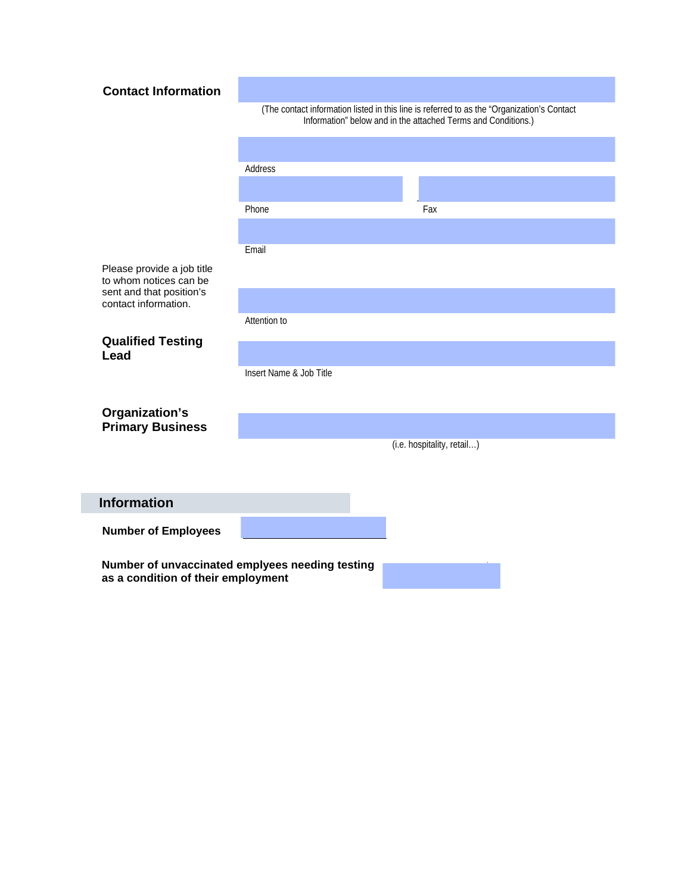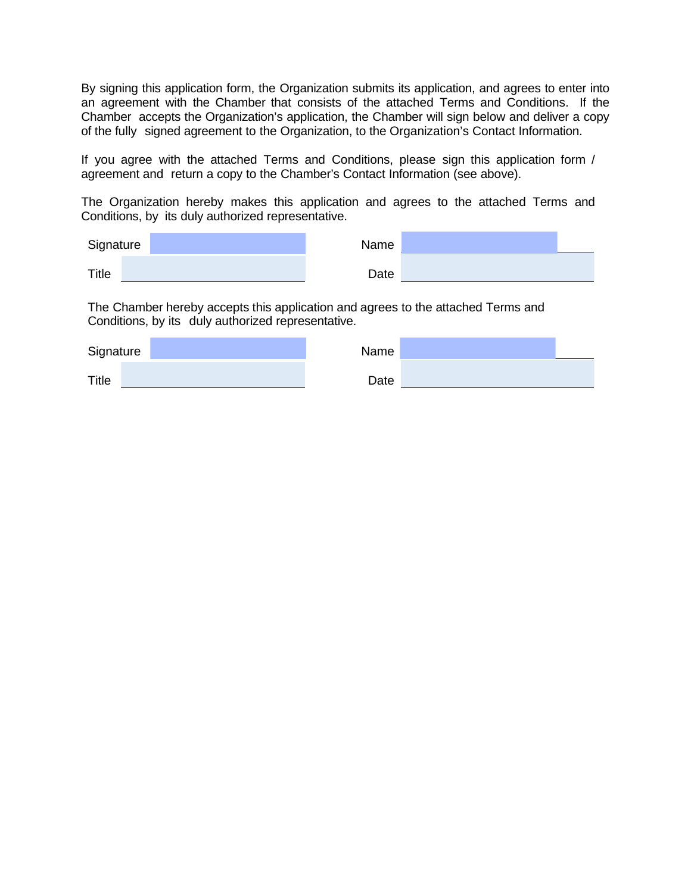By signing this application form, the Organization submits its application, and agrees to enter into an agreement with the Chamber that consists of the attached Terms and Conditions. If the Chamber accepts the Organization's application, the Chamber will sign below and deliver a copy of the fully signed agreement to the Organization, to the Organization's Contact Information.

If you agree with the attached Terms and Conditions, please sign this application form / agreement and return a copy to the Chamber's Contact Information (see above).

The Organization hereby makes this application and agrees to the attached Terms and Conditions, by its duly authorized representative.

| Signature | Name |  |
|-----------|------|--|
| Title     | Date |  |

The Chamber hereby accepts this application and agrees to the attached Terms and Conditions, by its duly authorized representative.

| Signature    | Name |  |
|--------------|------|--|
| <b>Title</b> | Date |  |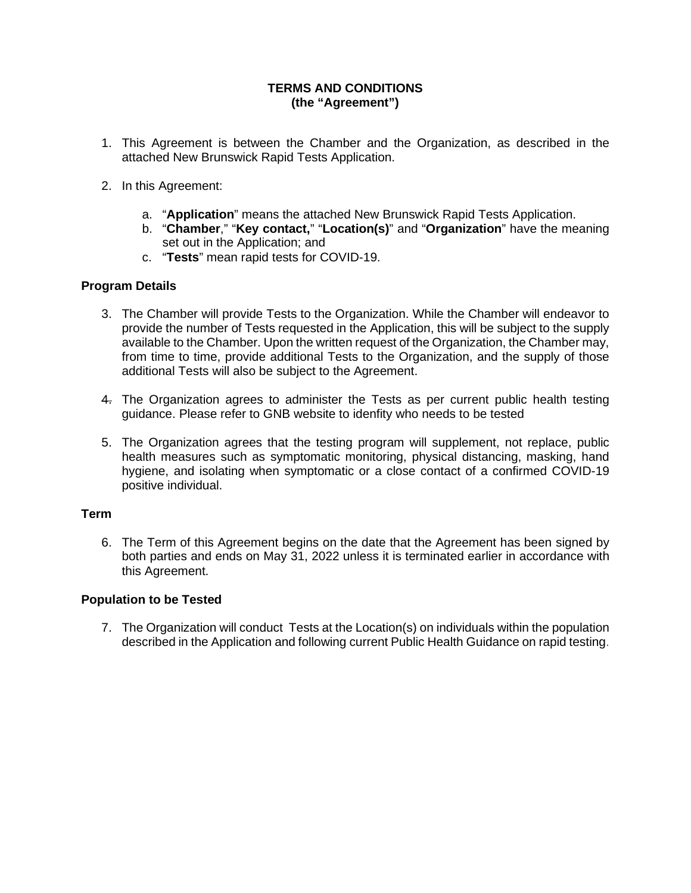## **TERMS AND CONDITIONS (the "Agreement")**

- 1. This Agreement is between the Chamber and the Organization, as described in the attached New Brunswick Rapid Tests Application.
- 2. In this Agreement:
	- a. "**Application**" means the attached New Brunswick Rapid Tests Application.
	- b. "**Chamber**," "**Key contact,**" "**Location(s)**" and "**Organization**" have the meaning set out in the Application; and
	- c. "**Tests**" mean rapid tests for COVID-19.

#### **Program Details**

- 3. The Chamber will provide Tests to the Organization. While the Chamber will endeavor to provide the number of Tests requested in the Application, this will be subject to the supply available to the Chamber. Upon the written request of the Organization, the Chamber may, from time to time, provide additional Tests to the Organization, and the supply of those additional Tests will also be subject to the Agreement.
- 4. The Organization agrees to administer the Tests as per current public health testing guidance. Please refer to GNB website to idenfity who needs to be tested
- 5. The Organization agrees that the testing program will supplement, not replace, public health measures such as symptomatic monitoring, physical distancing, masking, hand hygiene, and isolating when symptomatic or a close contact of a confirmed COVID-19 positive individual.

#### **Term**

6. The Term of this Agreement begins on the date that the Agreement has been signed by both parties and ends on May 31, 2022 unless it is terminated earlier in accordance with this Agreement.

#### **Population to be Tested**

7. The Organization will conduct Tests at the Location(s) on individuals within the population described in the Application and following current Public Health Guidance on rapid testing.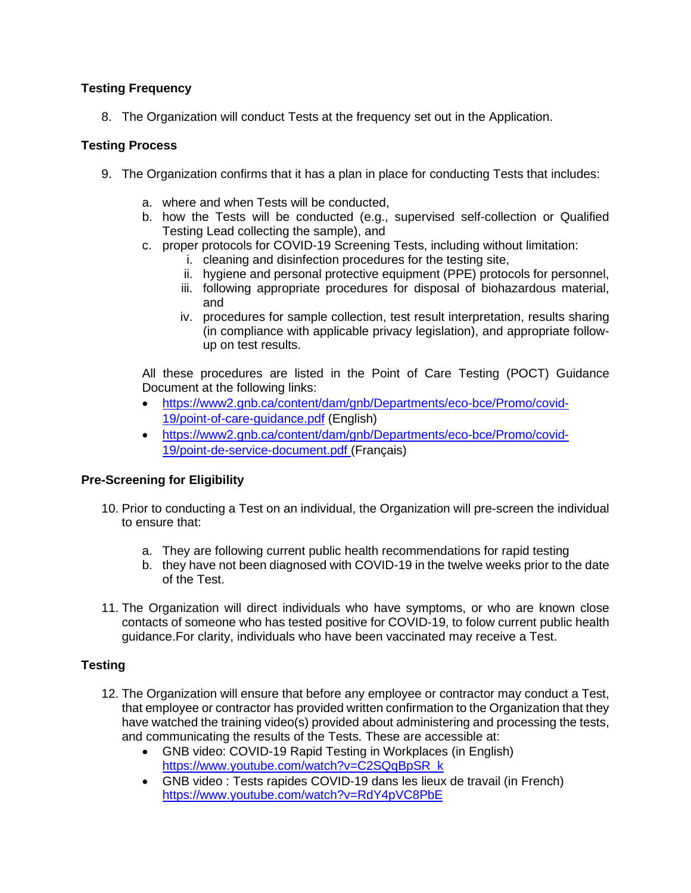## **Testing Frequency**

8. The Organization will conduct Tests at the frequency set out in the Application.

## **Testing Process**

- 9. The Organization confirms that it has a plan in place for conducting Tests that includes:
	- a. where and when Tests will be conducted,
	- b. how the Tests will be conducted (e.g., supervised self-collection or Qualified Testing Lead collecting the sample), and
	- c. proper protocols for COVID-19 Screening Tests, including without limitation:
		- i. cleaning and disinfection procedures for the testing site,
		- ii. hygiene and personal protective equipment (PPE) protocols for personnel,
		- iii. following appropriate procedures for disposal of biohazardous material, and
		- iv. procedures for sample collection, test result interpretation, results sharing (in compliance with applicable privacy legislation), and appropriate followup on test results.

All these procedures are listed in the Point of Care Testing (POCT) Guidance Document at the following links:

- [https://www2.gnb.ca/content/dam/gnb/Departments/eco-bce/Promo/covid-](https://www2.gnb.ca/content/dam/gnb/Departments/eco-bce/Promo/covid-19/point-of-care-guidance.pdf)[19/point-of-care-guidance.pdf](https://www2.gnb.ca/content/dam/gnb/Departments/eco-bce/Promo/covid-19/point-of-care-guidance.pdf) (English)
- [https://www2.gnb.ca/content/dam/gnb/Departments/eco-bce/Promo/covid-](https://www2.gnb.ca/content/dam/gnb/Departments/eco-bce/Promo/covid-19/point-de-service-document.pdf)[19/point-de-service-document.pdf](https://www2.gnb.ca/content/dam/gnb/Departments/eco-bce/Promo/covid-19/point-de-service-document.pdf) (Français)

## **Pre-Screening for Eligibility**

- 10. Prior to conducting a Test on an individual, the Organization will pre-screen the individual to ensure that:
	- a. They are following current public health recommendations for rapid testing
	- b. they have not been diagnosed with COVID-19 in the twelve weeks prior to the date of the Test.
- 11. The Organization will direct individuals who have symptoms, or who are known close contacts of someone who has tested positive for COVID-19, to folow current public health guidance.For clarity, individuals who have been vaccinated may receive a Test.

## **Testing**

- 12. The Organization will ensure that before any employee or contractor may conduct a Test, that employee or contractor has provided written confirmation to the Organization that they have watched the training video(s) provided about administering and processing the tests, and communicating the results of the Tests. These are accessible at:
	- GNB video: COVID-19 Rapid Testing in Workplaces (in English) [https://www.youtube.com/watch?v=C2SQqBpSR\\_k](https://can01.safelinks.protection.outlook.com/?url=https%3A%2F%2Fwww.youtube.com%2Fwatch%3Fv%3DC2SQqBpSR_k&data=04%7C01%7CJennifer.McNeil-Haddad%40gnb.ca%7C1a258a2875074c4c566108d976d0255c%7Ce08b7eefb5014a679ed007e38bfccee7%7C0%7C0%7C637671458909203794%7CUnknown%7CTWFpbGZsb3d8eyJWIjoiMC4wLjAwMDAiLCJQIjoiV2luMzIiLCJBTiI6Ik1haWwiLCJXVCI6Mn0%3D%7C1000&sdata=ANUNacIOZUns%2BqZS9SOeINqaDH%2FScpq7ICijfcn%2Bqgk%3D&reserved=0)
	- GNB video : Tests rapides COVID-19 dans les lieux de travail (in French) <https://www.youtube.com/watch?v=RdY4pVC8PbE>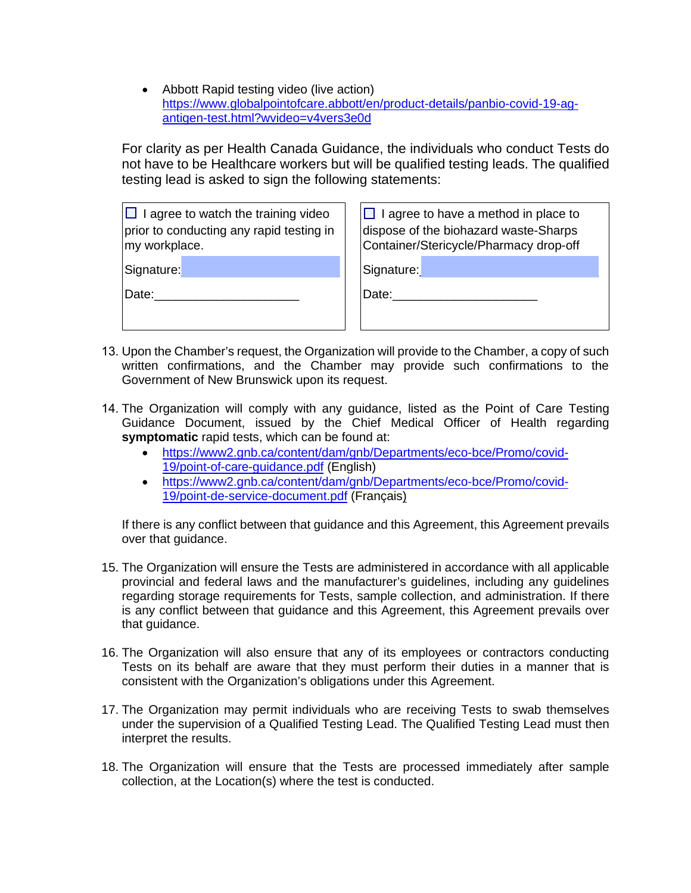• Abbott Rapid testing video (live action) [https://www.globalpointofcare.abbott/en/product-details/panbio-covid-19-ag](https://www.globalpointofcare.abbott/en/product-details/panbio-covid-19-ag-antigen-test.html?wvideo=v4vers3e0d)[antigen-test.html?wvideo=v4vers3e0d](https://www.globalpointofcare.abbott/en/product-details/panbio-covid-19-ag-antigen-test.html?wvideo=v4vers3e0d)

For clarity as per Health Canada Guidance, the individuals who conduct Tests do not have to be Healthcare workers but will be qualified testing leads. The qualified testing lead is asked to sign the following statements:

| $\Box$ I agree to watch the training video<br>prior to conducting any rapid testing in<br>my workplace. | $\Box$ I agree to have a method in place to<br>dispose of the biohazard waste-Sharps<br>Container/Stericycle/Pharmacy drop-off |  |
|---------------------------------------------------------------------------------------------------------|--------------------------------------------------------------------------------------------------------------------------------|--|
| Signature:                                                                                              | Signature:                                                                                                                     |  |
| Date:                                                                                                   | Date:                                                                                                                          |  |
|                                                                                                         |                                                                                                                                |  |

- 13. Upon the Chamber's request, the Organization will provide to the Chamber, a copy of such written confirmations, and the Chamber may provide such confirmations to the Government of New Brunswick upon its request.
- 14. The Organization will comply with any guidance, listed as the Point of Care Testing Guidance Document, issued by the Chief Medical Officer of Health regarding **symptomatic** rapid tests, which can be found at:
	- [https://www2.gnb.ca/content/dam/gnb/Departments/eco-bce/Promo/covid-](https://www2.gnb.ca/content/dam/gnb/Departments/eco-bce/Promo/covid-19/point-of-care-guidance.pdf)[19/point-of-care-guidance.pdf](https://www2.gnb.ca/content/dam/gnb/Departments/eco-bce/Promo/covid-19/point-of-care-guidance.pdf) (English)
	- [https://www2.gnb.ca/content/dam/gnb/Departments/eco-bce/Promo/covid-](https://www2.gnb.ca/content/dam/gnb/Departments/eco-bce/Promo/covid-19/point-de-service-document.pdf)[19/point-de-service-document.pdf](https://www2.gnb.ca/content/dam/gnb/Departments/eco-bce/Promo/covid-19/point-de-service-document.pdf) (Français)

If there is any conflict between that guidance and this Agreement, this Agreement prevails over that guidance.

- 15. The Organization will ensure the Tests are administered in accordance with all applicable provincial and federal laws and the manufacturer's guidelines, including any guidelines regarding storage requirements for Tests, sample collection, and administration. If there is any conflict between that guidance and this Agreement, this Agreement prevails over that guidance.
- 16. The Organization will also ensure that any of its employees or contractors conducting Tests on its behalf are aware that they must perform their duties in a manner that is consistent with the Organization's obligations under this Agreement.
- 17. The Organization may permit individuals who are receiving Tests to swab themselves under the supervision of a Qualified Testing Lead. The Qualified Testing Lead must then interpret the results.
- 18. The Organization will ensure that the Tests are processed immediately after sample collection, at the Location(s) where the test is conducted.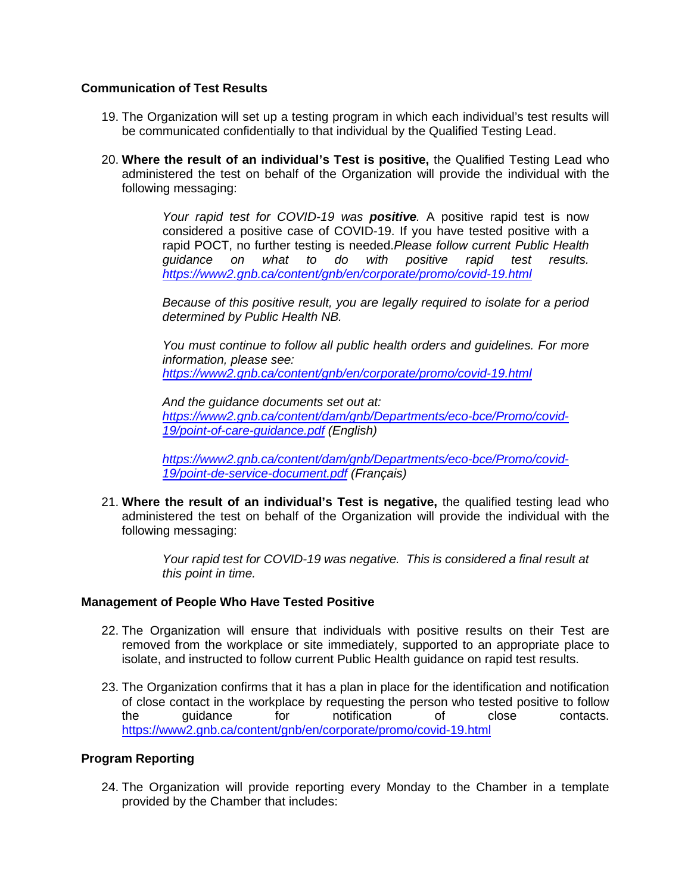#### **Communication of Test Results**

- 19. The Organization will set up a testing program in which each individual's test results will be communicated confidentially to that individual by the Qualified Testing Lead.
- 20. **Where the result of an individual's Test is positive,** the Qualified Testing Lead who administered the test on behalf of the Organization will provide the individual with the following messaging:

*Your rapid test for COVID-19 was positive.* A positive rapid test is now considered a positive case of COVID-19. If you have tested positive with a rapid POCT, no further testing is needed.*Please follow current Public Health guidance on what to do with positive rapid test results. <https://www2.gnb.ca/content/gnb/en/corporate/promo/covid-19.html>*

*Because of this positive result, you are legally required to isolate for a period determined by Public Health NB.* 

*You must continue to follow all public health orders and guidelines. For more information, please see: <https://www2.gnb.ca/content/gnb/en/corporate/promo/covid-19.html>*

*And the guidance documents set out at: [https://www2.gnb.ca/content/dam/gnb/Departments/eco-bce/Promo/covid-](https://www2.gnb.ca/content/dam/gnb/Departments/eco-bce/Promo/covid-19/point-of-care-guidance.pdf)[19/point-of-care-guidance.pdf](https://www2.gnb.ca/content/dam/gnb/Departments/eco-bce/Promo/covid-19/point-of-care-guidance.pdf) (English)*

*[https://www2.gnb.ca/content/dam/gnb/Departments/eco-bce/Promo/covid-](https://www2.gnb.ca/content/dam/gnb/Departments/eco-bce/Promo/covid-19/point-de-service-document.pdf)[19/point-de-service-document.pdf](https://www2.gnb.ca/content/dam/gnb/Departments/eco-bce/Promo/covid-19/point-de-service-document.pdf) (Français)*

21. **Where the result of an individual's Test is negative,** the qualified testing lead who administered the test on behalf of the Organization will provide the individual with the following messaging:

> *Your rapid test for COVID-19 was negative. This is considered a final result at this point in time.*

#### **Management of People Who Have Tested Positive**

- 22. The Organization will ensure that individuals with positive results on their Test are removed from the workplace or site immediately, supported to an appropriate place to isolate, and instructed to follow current Public Health guidance on rapid test results.
- 23. The Organization confirms that it has a plan in place for the identification and notification of close contact in the workplace by requesting the person who tested positive to follow<br>the quidance for notification of close contacts the guidance for notification of close contacts. <https://www2.gnb.ca/content/gnb/en/corporate/promo/covid-19.html>

## **Program Reporting**

24. The Organization will provide reporting every Monday to the Chamber in a template provided by the Chamber that includes: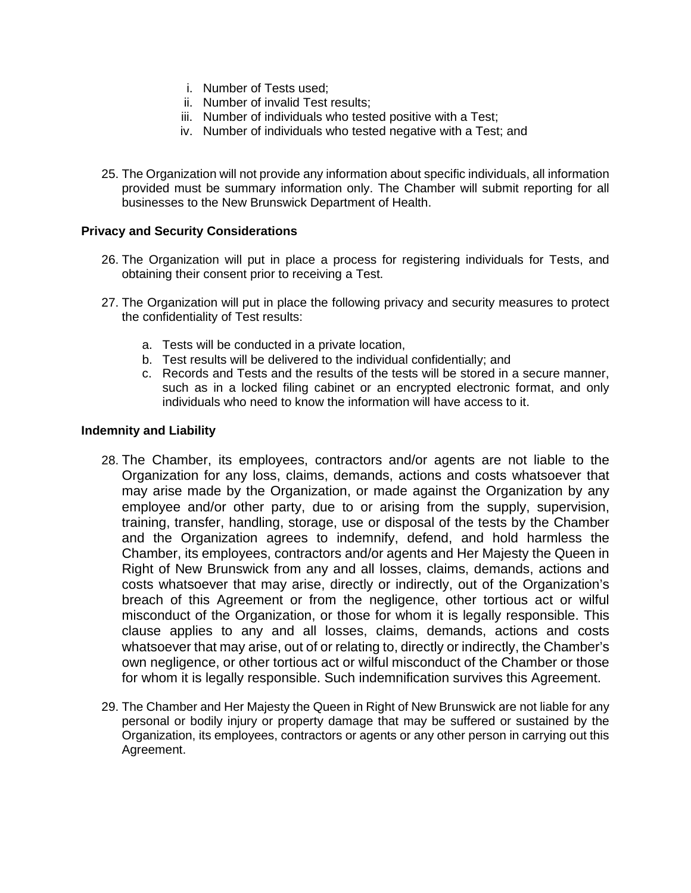- i. Number of Tests used;
- ii. Number of invalid Test results;
- iii. Number of individuals who tested positive with a Test;
- iv. Number of individuals who tested negative with a Test; and
- 25. The Organization will not provide any information about specific individuals, all information provided must be summary information only. The Chamber will submit reporting for all businesses to the New Brunswick Department of Health.

#### **Privacy and Security Considerations**

- 26. The Organization will put in place a process for registering individuals for Tests, and obtaining their consent prior to receiving a Test.
- 27. The Organization will put in place the following privacy and security measures to protect the confidentiality of Test results:
	- a. Tests will be conducted in a private location,
	- b. Test results will be delivered to the individual confidentially; and
	- c. Records and Tests and the results of the tests will be stored in a secure manner, such as in a locked filing cabinet or an encrypted electronic format, and only individuals who need to know the information will have access to it.

#### **Indemnity and Liability**

- 28. The Chamber, its employees, contractors and/or agents are not liable to the Organization for any loss, claims, demands, actions and costs whatsoever that may arise made by the Organization, or made against the Organization by any employee and/or other party, due to or arising from the supply, supervision, training, transfer, handling, storage, use or disposal of the tests by the Chamber and the Organization agrees to indemnify, defend, and hold harmless the Chamber, its employees, contractors and/or agents and Her Majesty the Queen in Right of New Brunswick from any and all losses, claims, demands, actions and costs whatsoever that may arise, directly or indirectly, out of the Organization's breach of this Agreement or from the negligence, other tortious act or wilful misconduct of the Organization, or those for whom it is legally responsible. This clause applies to any and all losses, claims, demands, actions and costs whatsoever that may arise, out of or relating to, directly or indirectly, the Chamber's own negligence, or other tortious act or wilful misconduct of the Chamber or those for whom it is legally responsible. Such indemnification survives this Agreement.
- 29. The Chamber and Her Majesty the Queen in Right of New Brunswick are not liable for any personal or bodily injury or property damage that may be suffered or sustained by the Organization, its employees, contractors or agents or any other person in carrying out this Agreement.